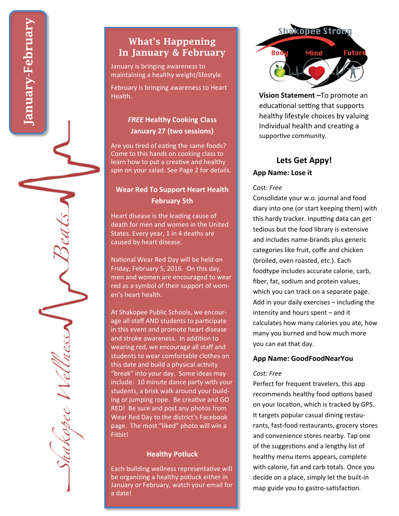# What's Happening In January & February

January is bringing awareness to maintaining a healthy weight/lifestyle.

February is bringing awareness to Heart Health.

## *FREE* **Healthy Cooking Class January 27 (two sessions)**

Are you tired of eating the same foods? Come to this hands on cooking class to learn how to put a creative and healthy spin on your salad. See Page 2 for details.

## **Wear Red To Support Heart Health February 5th**

Heart disease is the leading cause of death for men and women in the United States. Every year, 1 in 4 deaths are caused by heart disease.

National Wear Red Day will be held on Friday, February 5, 2016. On this day, men and women are encouraged to wear red as a symbol of their support of women's heart health.

At Shakopee Public Schools, we encourage all staff AND students to participate in this event and promote heart disease and stroke awareness. In addition to wearing red, we encourage all sta ff and students to wear comfortable clothes on this date and build a physical activity "break" into your day. Some ideas may include: 10 minute dance party with your students, a brisk walk around your building or jumping rope. Be creative and GO RED! Be sure and post any photos from Wear Red Day to the district's Facebook page. The most "liked" photo will win a Fitbit!

#### **Healthy Potluck**

Each building wellness representative will be organizing a healthy potluck either in January or February, watch your email for a date!



**Vision Statement –**To promote an educational setting that supports healthy lifestyle choices by valuing Individual health and creating a supportive community.

# **Lets Get Appy!**

#### **App Name: Lose it**

#### Cost: *Free*

Consolidate your w.o. journal and food diary into one (or start keeping them) with this hardy tracker. Inputting data can get tedious but the food library is extensive and includes name-brands plus generic categories like fruit, co ffe and chicken (broiled, oven roasted, etc.). Each foodtype includes accurate calorie, carb, fiber, fat, sodium and protein values, which you can track on a separate page. Add in your daily exercises – including the intensity and hours spent – and it calculates how many calories you ate, how many you burned and how much more you can eat that day.

#### **App Name: GoodFoodNearYou**

#### *Cost: Free*

Perfect for frequent travelers, this app recommends healthy food options based on your location, which is tracked by GPS. It targets popular casual dining restaurants, fast-food restaurants, grocery stores and convenience stores nearby. Tap one of the suggestions and a lengthy list of healthy menu items appears, complete with calorie, fat and carb totals. Once you decide on a place, simply let the built-in map guide you to gastro-satisfaction.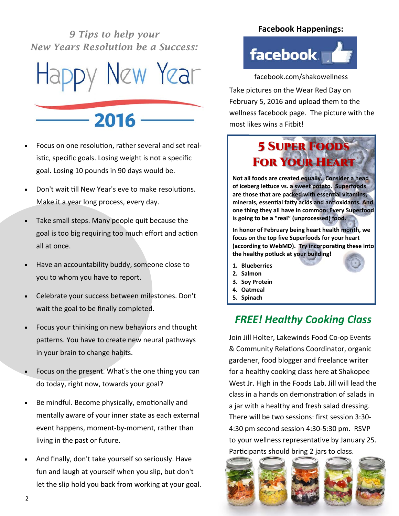*9 Tips to help your New Years Resolution be a Success:* 



Focus on one resolution, rather several and set realistic, specific goals. Losing weight is not a specific goal. Losing 10 pounds in 90 days would be.

 $-2016$ 

- Don't wait till New Year's eve to make resolutions. Make it a year long process, every day.
- Take small steps. Many people quit because the goal is too big requiring too much effort and action all at once.
- Have an accountability buddy, someone close to you to whom you have to report.
- Celebrate your success between milestones. Don't wait the goal to be finally completed.
- Focus your thinking on new behaviors and thought patterns. You have to create new neural pathways in your brain to change habits.
- Focus on the present. What's the one thing you can do today, right now, towards your goal?
- Be mindful. Become physically, emotionally and mentally aware of your inner state as each external event happens, moment-by-moment, rather than living in the past or future.
- And finally, don't take yourself so seriously. Have fun and laugh at yourself when you slip, but don't let the slip hold you back from working at your goal.

### **Facebook Happenings:**



facebook.com/shakowellness

Take pictures on the Wear Red Day on February 5, 2016 and upload them to the wellness facebook page. The picture with the most likes wins a Fitbit!



**Not all foods are created equally. Consider a head of iceberg leƩuce vs. a sweet potato. Superfoods are those that are packed with essenƟal vitamins, minerals, essenƟal faƩy acids and anƟoxidants. And one thing they all have in common: Every Superfood is going to be a "real" (unprocessed) food.** 

**In honor of February being heart health month, we focus on the top five Superfoods for your heart (according to WebMD). Try incorporaƟng these into the healthy potluck at your building!**

- **1. Blueberries**
- **2. Salmon**
- **3. Soy Protein**
- **4. Oatmeal**
- **5. Spinach**

# *FREE! Healthy Cooking Class*

Join Jill Holter, Lakewinds Food Co-op Events & Community Relations Coordinator, organic gardener, food blogger and freelance writer for a healthy cooking class here at Shakopee West Jr. High in the Foods Lab. Jill will lead the class in a hands on demonstration of salads in a jar with a healthy and fresh salad dressing. There will be two sessions: first session 3:30- 4:30 pm second session 4:30-5:30 pm. RSVP to your wellness representative by January 25. Participants should bring 2 jars to class.

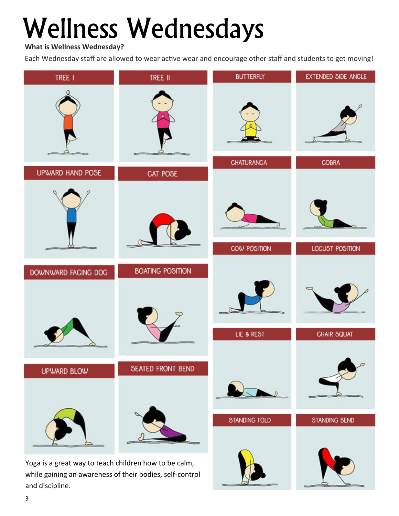# Wellness Wednesdays

**What is Wellness Wednesday?** 

Each Wednesday staff are allowed to wear active wear and encourage other staff and students to get moving!



and discipline.